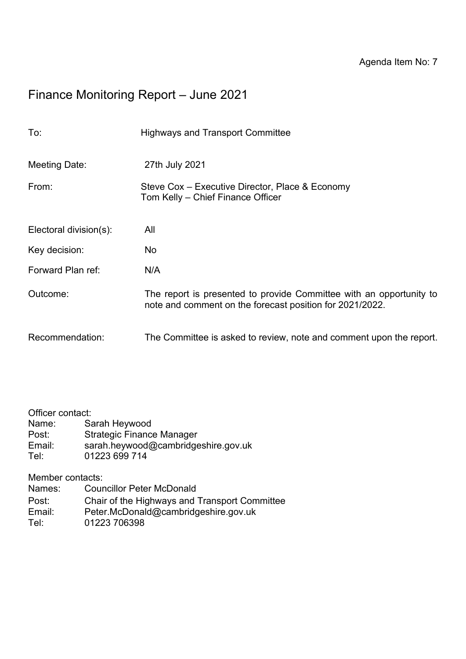# Finance Monitoring Report – June 2021

| To:                    | <b>Highways and Transport Committee</b>                                                                                         |
|------------------------|---------------------------------------------------------------------------------------------------------------------------------|
| Meeting Date:          | 27th July 2021                                                                                                                  |
| From:                  | Steve Cox – Executive Director, Place & Economy<br>Tom Kelly – Chief Finance Officer                                            |
| Electoral division(s): | All                                                                                                                             |
| Key decision:          | No                                                                                                                              |
| Forward Plan ref:      | N/A                                                                                                                             |
| Outcome:               | The report is presented to provide Committee with an opportunity to<br>note and comment on the forecast position for 2021/2022. |
| Recommendation:        | The Committee is asked to review, note and comment upon the report.                                                             |

# Officer contact:<br>Name: Sa

Name: Sarah Heywood<br>Post: Strategic Finance Post: Strategic Finance Manager<br>Email: sarah.hevwood@cambridge Email: sarah.heywood@cambridgeshire.gov.uk<br>Tel: 01223 699 714 01223 699 714

Member contacts:

- Names: Councillor Peter McDonald
- Post: Chair of the Highways and Transport Committee<br>
Email: Peter.McDonald@cambridgeshire.gov.uk
- Email: Peter.McDonald@cambridgeshire.gov.uk<br>Tel: 01223 706398
- 01223 706398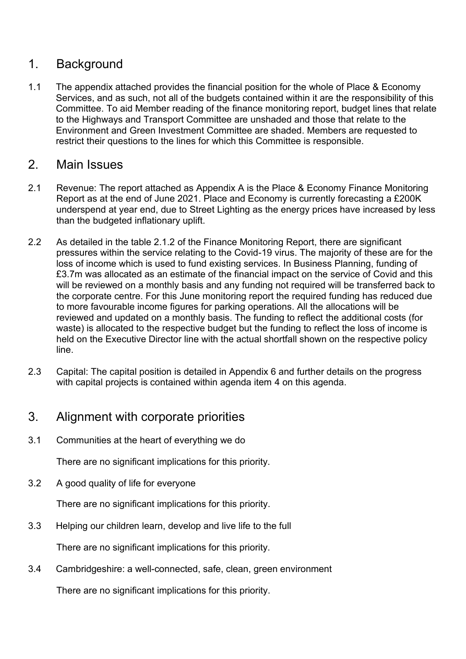### 1. Background

1.1 The appendix attached provides the financial position for the whole of Place & Economy Services, and as such, not all of the budgets contained within it are the responsibility of this Committee. To aid Member reading of the finance monitoring report, budget lines that relate to the Highways and Transport Committee are unshaded and those that relate to the Environment and Green Investment Committee are shaded. Members are requested to restrict their questions to the lines for which this Committee is responsible.

#### 2. Main Issues

- 2.1 Revenue: The report attached as Appendix A is the Place & Economy Finance Monitoring Report as at the end of June 2021. Place and Economy is currently forecasting a £200K underspend at year end, due to Street Lighting as the energy prices have increased by less than the budgeted inflationary uplift.
- 2.2 As detailed in the table 2.1.2 of the Finance Monitoring Report, there are significant pressures within the service relating to the Covid-19 virus. The majority of these are for the loss of income which is used to fund existing services. In Business Planning, funding of £3.7m was allocated as an estimate of the financial impact on the service of Covid and this will be reviewed on a monthly basis and any funding not required will be transferred back to the corporate centre. For this June monitoring report the required funding has reduced due to more favourable income figures for parking operations. All the allocations will be reviewed and updated on a monthly basis. The funding to reflect the additional costs (for waste) is allocated to the respective budget but the funding to reflect the loss of income is held on the Executive Director line with the actual shortfall shown on the respective policy line.
- 2.3 Capital: The capital position is detailed in Appendix 6 and further details on the progress with capital projects is contained within agenda item 4 on this agenda.

## 3. Alignment with corporate priorities

3.1 Communities at the heart of everything we do

There are no significant implications for this priority.

3.2 A good quality of life for everyone

There are no significant implications for this priority.

3.3 Helping our children learn, develop and live life to the full

There are no significant implications for this priority.

3.4 Cambridgeshire: a well-connected, safe, clean, green environment

There are no significant implications for this priority.